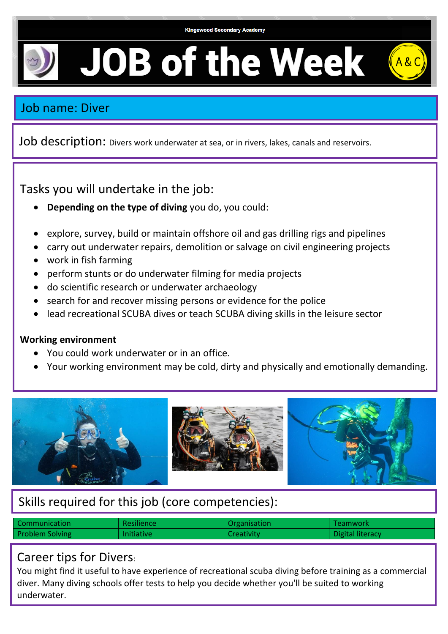

**JOB of the Week** 

### Job name: Diver

Job description: Divers work underwater at sea, or in rivers, lakes, canals and reservoirs.

Tasks you will undertake in the job:

- **Depending on the type of diving** you do, you could:
- explore, survey, build or maintain offshore oil and gas drilling rigs and pipelines
- carry out underwater repairs, demolition or salvage on civil engineering projects
- work in fish farming
- perform stunts or do underwater filming for media projects
- do scientific research or underwater archaeology
- search for and recover missing persons or evidence for the police
- lead recreational SCUBA dives or teach SCUBA diving skills in the leisure sector

#### **Working environment**

- You could work underwater or in an office.
- Your working environment may be cold, dirty and physically and emotionally demanding.



# Skills required for this job (core competencies):

| Communication          | Resilience        | Organisation      | Teamwork         |
|------------------------|-------------------|-------------------|------------------|
| <b>Problem Solving</b> | <b>Initiative</b> | <b>Creativity</b> | Digital literacy |

#### Career tips for Divers:

You might find it useful to have experience of recreational scuba diving before training as a commercial diver. Many diving schools offer tests to help you decide whether you'll be suited to working underwater.